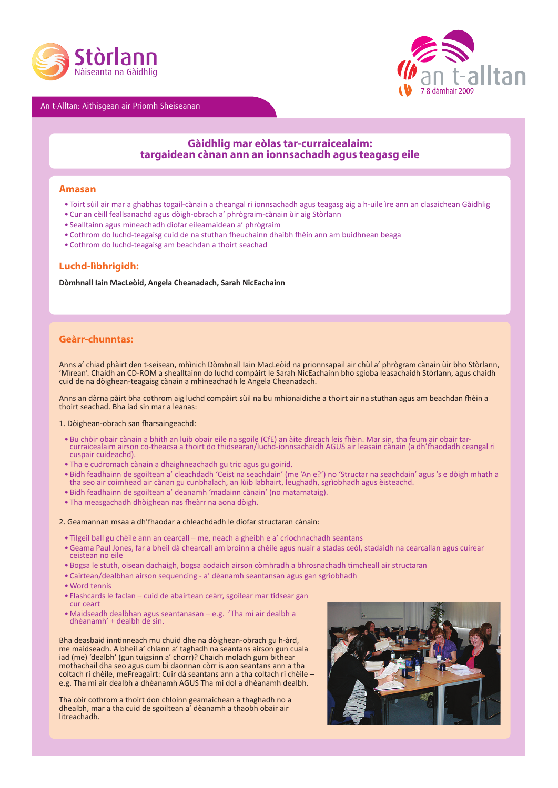

An t-Alltan: Aithisgean air Prìomh Sheiseanan



# **Gàidhlig mar eòlas tar-curraicealaim: targaidean cànan ann an ionnsachadh agus teagasg eile**

## **Amasan**

- • Toirt sùil air mar a ghabhas togail-cànain a cheangal ri ionnsachadh agus teagasg aig a h-uile ìre ann an clasaichean Gàidhlig
- • Cur an cèill feallsanachd agus dòigh-obrach a' phrògraim-cànain ùir aig Stòrlann
- • Sealltainn agus mìneachadh diofar eileamaidean a' phrògraim
- • Cothrom do luchd-teagaisg cuid de na stuthan fheuchainn dhaibh fhèin ann am buidhnean beaga
- • Cothrom do luchd-teagaisg am beachdan a thoirt seachad

## **Luchd-lìbhrigidh:**

**Dòmhnall Iain MacLeòid, Angela Cheanadach, Sarah NicEachainn**

## **Geàrr-chunntas:**

Anns a' chiad phàirt den t-seisean, mhìnich Dòmhnall Iain MacLeòid na prionnsapail air chùl a' phrògram cànain ùir bho Stòrlann, 'Mìrean'. Chaidh an CD-ROM a shealltainn do luchd compàirt le Sarah NicEachainn bho sgioba leasachaidh Stòrlann, agus chaidh cuid de na dòighean-teagaisg cànain a mhìneachadh le Angela Cheanadach.

Anns an dàrna pàirt bha cothrom aig luchd compàirt sùil na bu mhionaidiche a thoirt air na stuthan agus am beachdan fhèin a thoirt seachad. Bha iad sin mar a leanas:

#### 1. Dòighean-obrach san fharsaingeachd:

- • Bu chòir obair cànain a bhith an luib obair eile na sgoile (CfE) an àite dìreach leis fhèin. Mar sin, tha feum air obair tarcurraicealaim airson co-theacsa a thoirt do thidsearan/luchd-ionnsachaidh AGUS air leasain cànain (a dh'fhaodadh ceangal ri cuspair cuideachd).
- • Tha e cudromach cànain a dhaighneachadh gu tric agus gu goirid.
- Bidh feadhainn de sgoiltean a' cleachdadh 'Ceist na seachdain' (me 'An e?') no 'Structar na seachdain' agus 's e dòigh mhath a<br>tha seo air coimhead air cànan gu cunbhalach, an lùib labhairt, leughadh, sgrìobhadh agus èis
- • Bidh feadhainn de sgoiltean a' deanamh 'madainn cànain' (no matamataig).
- • Tha measgachadh dhòighean nas fheàrr na aona dòigh.

#### 2. Geamannan msaa a dh'fhaodar a chleachdadh le diofar structaran cànain:

- • Tilgeil ball gu chèile ann an cearcall me, neach a gheibh e a' criochnachadh seantans
- • Geama Paul Jones, far a bheil dà chearcall am broinn a chèile agus nuair a stadas ceòl, stadaidh na cearcallan agus cuirear ceistean no eile
- • Bogsa le stuth, oisean dachaigh, bogsa aodaich airson còmhradh a bhrosnachadh timcheall air structaran
- • Cairtean/dealbhan airson sequencing a' dèanamh seantansan agus gan sgrìobhadh
- • Word tennis
- • Flashcards le faclan cuid de abairtean ceàrr, sgoilear mar tidsear gan cur ceart
- • Maidseadh dealbhan agus seantanasan e.g. 'Tha mi air dealbh <sup>a</sup> dhèanamh' <sup>+</sup> dealbh de sin.

Bha deasbaid inntinneach mu chuid dhe na dòighean-obrach gu h-àrd, me maidseadh. <sup>A</sup> bheil a' chlann a' taghadh na seantans airson gun cuala iad (me) 'dealbh' (gun tuigsinn a' chorr)? Chaidh moladh gum bithear mothachail dha seo agus cum bi daonnan còrr is aon seantans ann a tha coltach ri chèile, meFreagairt: Cuir dà seantans ann <sup>a</sup> tha coltach ri chèile – e.g. Tha mi air dealbh <sup>a</sup> dhèanamh AGUS Tha mi dol <sup>a</sup> dhèanamh dealbh.

Tha còir cothrom a thoirt don chloinn geamaichean a thaghadh no a dhealbh, mar a tha cuid de sgoiltean a' dèanamh a thaobh obair air litreachadh.